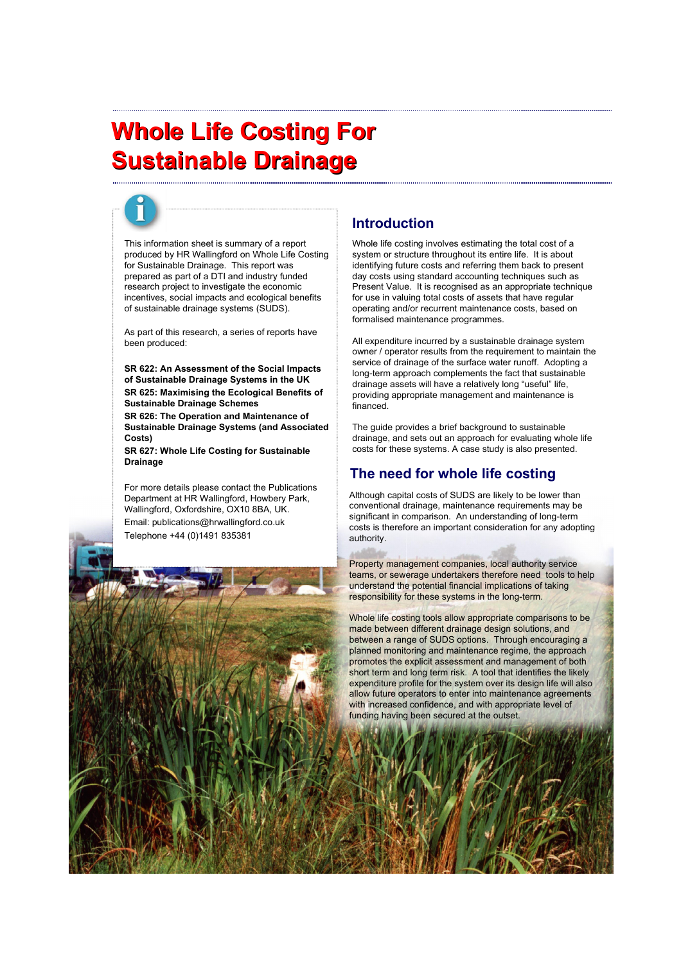# **Whole Life Costing For Whole Life Costing For Sustainable Drainage Sustainable Drainage**



This information sheet is summary of a report produced by HR Wallingford on Whole Life Costing for Sustainable Drainage. This report was prepared as part of a DTI and industry funded research project to investigate the economic incentives, social impacts and ecological benefits of sustainable drainage systems (SUDS).

As part of this research, a series of reports have been produced:

**SR 622: An Assessment of the Social Impacts of Sustainable Drainage Systems in the UK SR 625: Maximising the Ecological Benefits of Sustainable Drainage Schemes SR 626: The Operation and Maintenance of Sustainable Drainage Systems (and Associated Costs) SR 627: Whole Life Costing for Sustainable Drainage**

For more details please contact the Publications Department at HR Wallingford, Howbery Park, Wallingford, Oxfordshire, OX10 8BA, UK. Email: publications@hrwallingford.co.uk Telephone +44 (0)1491 835381

### **Introduction**

Whole life costing involves estimating the total cost of a system or structure throughout its entire life. It is about identifying future costs and referring them back to present day costs using standard accounting techniques such as Present Value. It is recognised as an appropriate technique for use in valuing total costs of assets that have regular operating and/or recurrent maintenance costs, based on formalised maintenance programmes.

All expenditure incurred by a sustainable drainage system owner / operator results from the requirement to maintain the service of drainage of the surface water runoff. Adopting a long-term approach complements the fact that sustainable drainage assets will have a relatively long "useful" life, providing appropriate management and maintenance is financed.

The guide provides a brief background to sustainable drainage, and sets out an approach for evaluating whole life costs for these systems. A case study is also presented.

### **The need for whole life costing**

Although capital costs of SUDS are likely to be lower than conventional drainage, maintenance requirements may be significant in comparison. An understanding of long-term costs is therefore an important consideration for any adopting authority.

Property management companies, local authority service teams, or sewerage undertakers therefore need tools to help understand the potential financial implications of taking responsibility for these systems in the long-term.

Whole life costing tools allow appropriate comparisons to be made between different drainage design solutions, and between a range of SUDS options. Through encouraging a planned monitoring and maintenance regime, the approach promotes the explicit assessment and management of both short term and long term risk. A tool that identifies the likely expenditure profile for the system over its design life will also allow future operators to enter into maintenance agreements with increased confidence, and with appropriate level of funding having been secured at the outset.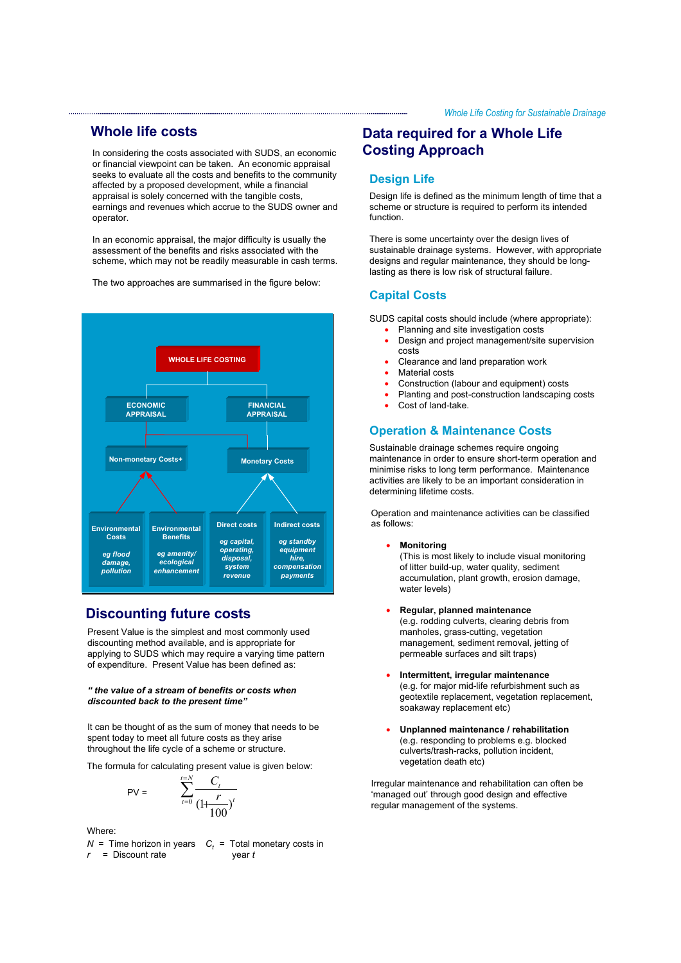### **Whole life costs**

In considering the costs associated with SUDS, an economic or financial viewpoint can be taken. An economic appraisal seeks to evaluate all the costs and benefits to the community affected by a proposed development, while a financial appraisal is solely concerned with the tangible costs, earnings and revenues which accrue to the SUDS owner and operator.

In an economic appraisal, the major difficulty is usually the assessment of the benefits and risks associated with the scheme, which may not be readily measurable in cash terms.

The two approaches are summarised in the figure below:



## **Discounting future costs**

Present Value is the simplest and most commonly used discounting method available, and is appropriate for applying to SUDS which may require a varying time pattern of expenditure. Present Value has been defined as:

#### *" the value of a stream of benefits or costs when discounted back to the present time"*

It can be thought of as the sum of money that needs to be spent today to meet all future costs as they arise throughout the life cycle of a scheme or structure.

The formula for calculating present value is given below:

 $^{=0}$  (1+

*t r C*

 $^{0}$  (1+ $\frac{'}{100}$ )

$$
PV = \sum_{t=0}^{t=N} \frac{C_t}{(1 + \frac{r}{100})^t}
$$

Where:

 $N =$  Time horizon in years  $C_t =$  Total monetary costs in *r* = Discount rate year *t*

### **Data required for a Whole Life Data required for a Whole Life Costing Approach Costing Approach**

### **Design Life**

Design life is defined as the minimum length of time that a scheme or structure is required to perform its intended function.

There is some uncertainty over the design lives of sustainable drainage systems. However, with appropriate designs and regular maintenance, they should be longlasting as there is low risk of structural failure.

### **Capital Costs**

SUDS capital costs should include (where appropriate):

- Planning and site investigation costs
- Design and project management/site supervision costs
- Clearance and land preparation work
- Material costs
- Construction (labour and equipment) costs
- Planting and post-construction landscaping costs
- Cost of land-take.

### **Operation & Maintenance Costs**

Sustainable drainage schemes require ongoing maintenance in order to ensure short-term operation and minimise risks to long term performance. Maintenance activities are likely to be an important consideration in determining lifetime costs.

**Risk Costs** Operation and maintenance activities can be classified as follows:

#### • **Monitoring**

(This is most likely to include visual monitoring of litter build-up, water quality, sediment accumulation, plant growth, erosion damage, water levels)

- **Regular, planned maintenance** (e.g. rodding culverts, clearing debris from manholes, grass-cutting, vegetation management, sediment removal, jetting of permeable surfaces and silt traps)
- **Intermittent, irregular maintenance** (e.g. for major mid-life refurbishment such as geotextile replacement, vegetation replacement, soakaway replacement etc)
- **Unplanned maintenance / rehabilitation** (e.g. responding to problems e.g. blocked culverts/trash-racks, pollution incident, vegetation death etc)

Irregular maintenance and rehabilitation can often be 'managed out' through good design and effective regular management of the systems.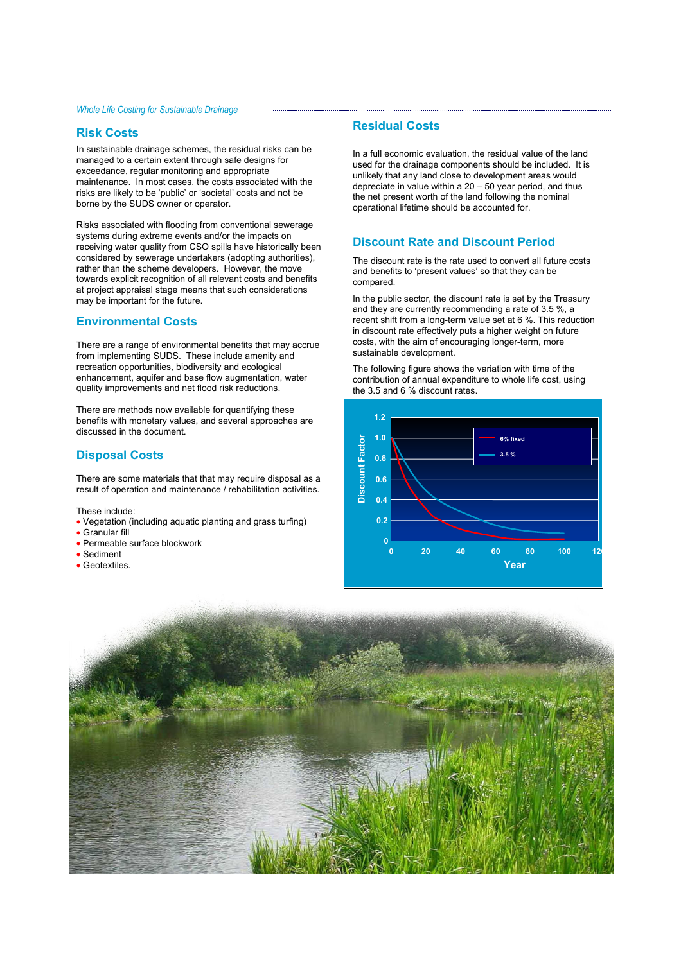#### *Whole Life Costing for Sustainable Drainage*

#### **Risk Costs**

In sustainable drainage schemes, the residual risks can be managed to a certain extent through safe designs for exceedance, regular monitoring and appropriate maintenance. In most cases, the costs associated with the risks are likely to be 'public' or 'societal' costs and not be borne by the SUDS owner or operator.

Risks associated with flooding from conventional sewerage systems during extreme events and/or the impacts on receiving water quality from CSO spills have historically been considered by sewerage undertakers (adopting authorities), rather than the scheme developers. However, the move towards explicit recognition of all relevant costs and benefits at project appraisal stage means that such considerations may be important for the future.

#### **Environmental Costs**

There are a range of environmental benefits that may accrue from implementing SUDS. These include amenity and recreation opportunities, biodiversity and ecological enhancement, aquifer and base flow augmentation, water quality improvements and net flood risk reductions.

There are methods now available for quantifying these benefits with monetary values, and several approaches are discussed in the document.

#### **Disposal Costs**

There are some materials that that may require disposal as a result of operation and maintenance / rehabilitation activities.

These include:

- Vegetation (including aquatic planting and grass turfing)
- Granular fill
- Permeable surface blockwork
- Sediment
- Geotextiles.

#### **Residual Costs**

In a full economic evaluation, the residual value of the land used for the drainage components should be included. It is unlikely that any land close to development areas would depreciate in value within a 20 – 50 year period, and thus the net present worth of the land following the nominal operational lifetime should be accounted for.

#### **Discount Rate and Discount Period**

The discount rate is the rate used to convert all future costs and benefits to 'present values' so that they can be compared.

In the public sector, the discount rate is set by the Treasury and they are currently recommending a rate of 3.5 %, a recent shift from a long-term value set at 6 %. This reduction in discount rate effectively puts a higher weight on future costs, with the aim of encouraging longer-term, more sustainable development.

The following figure shows the variation with time of the contribution of annual expenditure to whole life cost, using the 3.5 and 6 % discount rates.